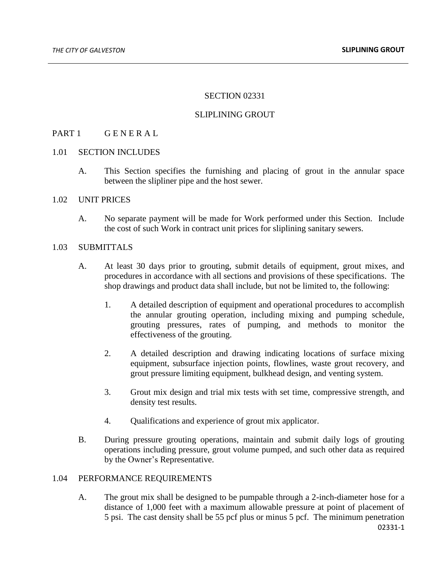### SECTION 02331

### SLIPLINING GROUT

## PART 1 GENERAL

### 1.01 SECTION INCLUDES

A. This Section specifies the furnishing and placing of grout in the annular space between the slipliner pipe and the host sewer.

### 1.02 UNIT PRICES

A. No separate payment will be made for Work performed under this Section. Include the cost of such Work in contract unit prices for sliplining sanitary sewers.

### 1.03 SUBMITTALS

- A. At least 30 days prior to grouting, submit details of equipment, grout mixes, and procedures in accordance with all sections and provisions of these specifications. The shop drawings and product data shall include, but not be limited to, the following:
	- 1. A detailed description of equipment and operational procedures to accomplish the annular grouting operation, including mixing and pumping schedule, grouting pressures, rates of pumping, and methods to monitor the effectiveness of the grouting.
	- 2. A detailed description and drawing indicating locations of surface mixing equipment, subsurface injection points, flowlines, waste grout recovery, and grout pressure limiting equipment, bulkhead design, and venting system.
	- 3. Grout mix design and trial mix tests with set time, compressive strength, and density test results.
	- 4. Qualifications and experience of grout mix applicator.
- B. During pressure grouting operations, maintain and submit daily logs of grouting operations including pressure, grout volume pumped, and such other data as required by the Owner's Representative.

### 1.04 PERFORMANCE REQUIREMENTS

02331-1 A. The grout mix shall be designed to be pumpable through a 2-inch-diameter hose for a distance of 1,000 feet with a maximum allowable pressure at point of placement of 5 psi. The cast density shall be 55 pcf plus or minus 5 pcf. The minimum penetration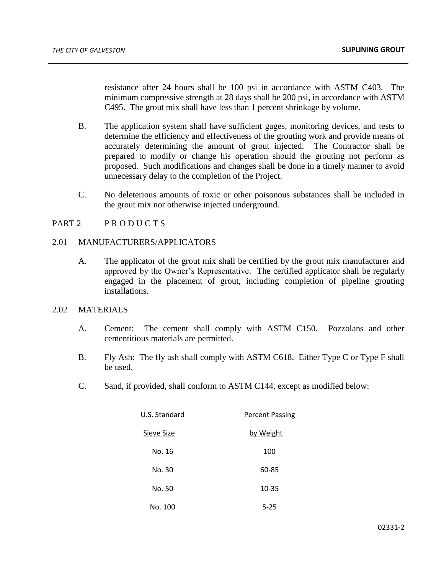resistance after 24 hours shall be 100 psi in accordance with ASTM C403. The minimum compressive strength at 28 days shall be 200 psi, in accordance with ASTM C495. The grout mix shall have less than 1 percent shrinkage by volume.

- B. The application system shall have sufficient gages, monitoring devices, and tests to determine the efficiency and effectiveness of the grouting work and provide means of accurately determining the amount of grout injected. The Contractor shall be prepared to modify or change his operation should the grouting not perform as proposed. Such modifications and changes shall be done in a timely manner to avoid unnecessary delay to the completion of the Project.
- C. No deleterious amounts of toxic or other poisonous substances shall be included in the grout mix nor otherwise injected underground.

# PART 2 PRODUCTS

### 2.01 MANUFACTURERS/APPLICATORS

A. The applicator of the grout mix shall be certified by the grout mix manufacturer and approved by the Owner's Representative. The certified applicator shall be regularly engaged in the placement of grout, including completion of pipeline grouting installations.

## 2.02 MATERIALS

- A. Cement: The cement shall comply with ASTM C150. Pozzolans and other cementitious materials are permitted.
- B. Fly Ash: The fly ash shall comply with ASTM C618. Either Type C or Type F shall be used.
- C. Sand, if provided, shall conform to ASTM C144, except as modified below:

| U.S. Standard | <b>Percent Passing</b> |
|---------------|------------------------|
| Sieve Size    | by Weight              |
| No. 16        | 100                    |
| No. 30        | 60-85                  |
| No. 50        | 10-35                  |
| No. 100       | $5 - 25$               |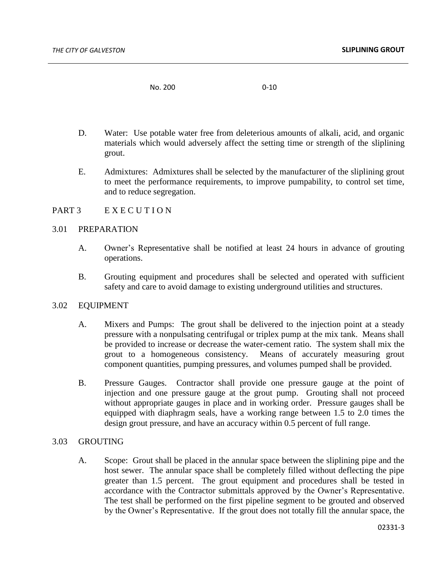No. 200 0-10

- D. Water: Use potable water free from deleterious amounts of alkali, acid, and organic materials which would adversely affect the setting time or strength of the sliplining grout.
- E. Admixtures: Admixtures shall be selected by the manufacturer of the sliplining grout to meet the performance requirements, to improve pumpability, to control set time, and to reduce segregation.

### PART 3 EXECUTION

### 3.01 PREPARATION

- A. Owner's Representative shall be notified at least 24 hours in advance of grouting operations.
- B. Grouting equipment and procedures shall be selected and operated with sufficient safety and care to avoid damage to existing underground utilities and structures.

#### 3.02 EQUIPMENT

- A. Mixers and Pumps: The grout shall be delivered to the injection point at a steady pressure with a nonpulsating centrifugal or triplex pump at the mix tank. Means shall be provided to increase or decrease the water-cement ratio. The system shall mix the grout to a homogeneous consistency. Means of accurately measuring grout component quantities, pumping pressures, and volumes pumped shall be provided.
- B. Pressure Gauges. Contractor shall provide one pressure gauge at the point of injection and one pressure gauge at the grout pump. Grouting shall not proceed without appropriate gauges in place and in working order. Pressure gauges shall be equipped with diaphragm seals, have a working range between 1.5 to 2.0 times the design grout pressure, and have an accuracy within 0.5 percent of full range.

### 3.03 GROUTING

A. Scope: Grout shall be placed in the annular space between the sliplining pipe and the host sewer. The annular space shall be completely filled without deflecting the pipe greater than 1.5 percent. The grout equipment and procedures shall be tested in accordance with the Contractor submittals approved by the Owner's Representative. The test shall be performed on the first pipeline segment to be grouted and observed by the Owner's Representative. If the grout does not totally fill the annular space, the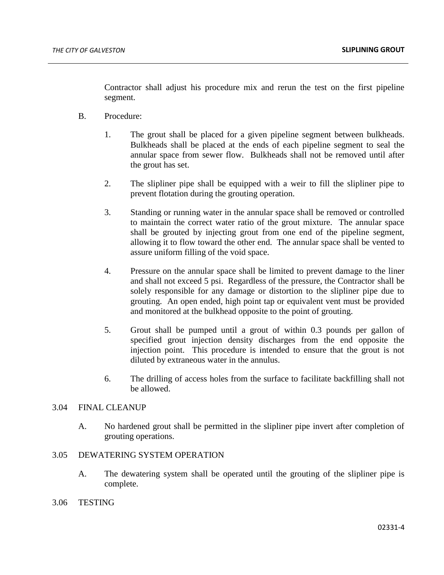Contractor shall adjust his procedure mix and rerun the test on the first pipeline segment.

- B. Procedure:
	- 1. The grout shall be placed for a given pipeline segment between bulkheads. Bulkheads shall be placed at the ends of each pipeline segment to seal the annular space from sewer flow. Bulkheads shall not be removed until after the grout has set.
	- 2. The slipliner pipe shall be equipped with a weir to fill the slipliner pipe to prevent flotation during the grouting operation.
	- 3. Standing or running water in the annular space shall be removed or controlled to maintain the correct water ratio of the grout mixture. The annular space shall be grouted by injecting grout from one end of the pipeline segment, allowing it to flow toward the other end. The annular space shall be vented to assure uniform filling of the void space.
	- 4. Pressure on the annular space shall be limited to prevent damage to the liner and shall not exceed 5 psi. Regardless of the pressure, the Contractor shall be solely responsible for any damage or distortion to the slipliner pipe due to grouting. An open ended, high point tap or equivalent vent must be provided and monitored at the bulkhead opposite to the point of grouting.
	- 5. Grout shall be pumped until a grout of within 0.3 pounds per gallon of specified grout injection density discharges from the end opposite the injection point. This procedure is intended to ensure that the grout is not diluted by extraneous water in the annulus.
	- 6. The drilling of access holes from the surface to facilitate backfilling shall not be allowed.

## 3.04 FINAL CLEANUP

A. No hardened grout shall be permitted in the slipliner pipe invert after completion of grouting operations.

# 3.05 DEWATERING SYSTEM OPERATION

- A. The dewatering system shall be operated until the grouting of the slipliner pipe is complete.
- 3.06 TESTING